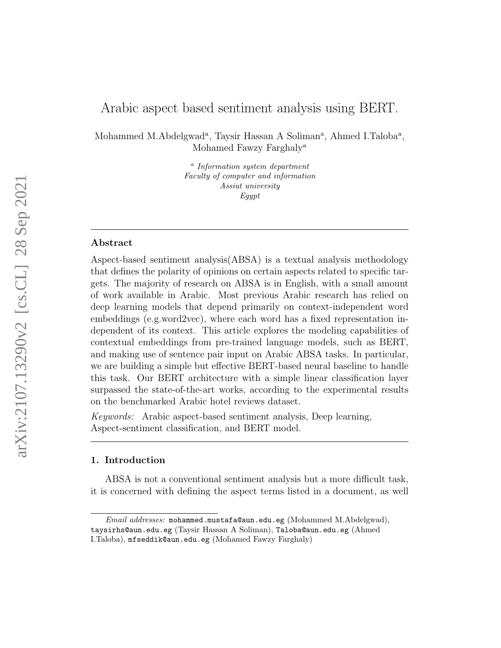# Arabic aspect based sentiment analysis using BERT.

Mohammed M.Abdelgwad<sup>a</sup>, Taysir Hassan A Soliman<sup>a</sup>, Ahmed I.Taloba<sup>a</sup>, Mohamed Fawzy Farghaly<sup>a</sup>

> <sup>a</sup> Information system department Faculty of computer and information Assiut university Egypt

### Abstract

Aspect-based sentiment analysis(ABSA) is a textual analysis methodology that defines the polarity of opinions on certain aspects related to specific targets. The majority of research on ABSA is in English, with a small amount of work available in Arabic. Most previous Arabic research has relied on deep learning models that depend primarily on context-independent word embeddings (e.g.word2vec), where each word has a fixed representation independent of its context. This article explores the modeling capabilities of contextual embeddings from pre-trained language models, such as BERT, and making use of sentence pair input on Arabic ABSA tasks. In particular, we are building a simple but effective BERT-based neural baseline to handle this task. Our BERT architecture with a simple linear classification layer surpassed the state-of-the-art works, according to the experimental results on the benchmarked Arabic hotel reviews dataset.

Keywords: Arabic aspect-based sentiment analysis, Deep learning, Aspect-sentiment classification, and BERT model.

### 1. Introduction

ABSA is not a conventional sentiment analysis but a more difficult task, it is concerned with defining the aspect terms listed in a document, as well

Email addresses: mohammed.mustafa@aun.edu.eg (Mohammed M.Abdelgwad), taysirhs@aun.edu.eg (Taysir Hassan A Soliman), Taloba@aun.edu.eg (Ahmed I.Taloba), mfseddik@aun.edu.eg (Mohamed Fawzy Farghaly)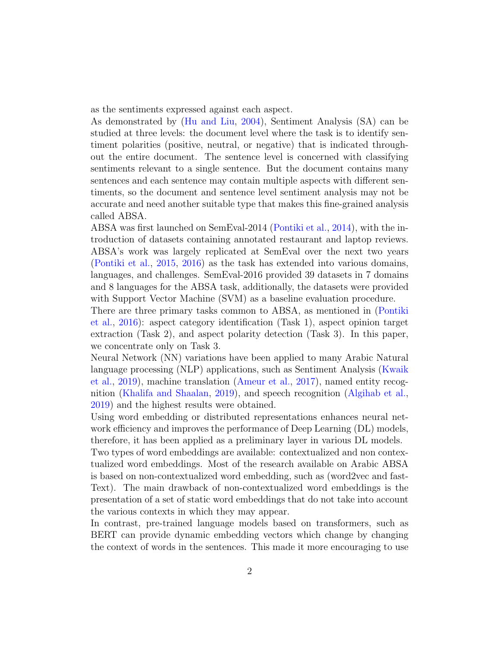as the sentiments expressed against each aspect.

As demonstrated by [\(Hu and Liu,](#page-14-0) [2004\)](#page-14-0), Sentiment Analysis (SA) can be studied at three levels: the document level where the task is to identify sentiment polarities (positive, neutral, or negative) that is indicated throughout the entire document. The sentence level is concerned with classifying sentiments relevant to a single sentence. But the document contains many sentences and each sentence may contain multiple aspects with different sentiments, so the document and sentence level sentiment analysis may not be accurate and need another suitable type that makes this fine-grained analysis called ABSA.

ABSA was first launched on SemEval-2014 [\(Pontiki et al.,](#page-15-0) [2014\)](#page-15-0), with the introduction of datasets containing annotated restaurant and laptop reviews. ABSA's work was largely replicated at SemEval over the next two years [\(Pontiki et al.,](#page-15-1) [2015,](#page-15-1) [2016\)](#page-15-2) as the task has extended into various domains, languages, and challenges. SemEval-2016 provided 39 datasets in 7 domains and 8 languages for the ABSA task, additionally, the datasets were provided with Support Vector Machine (SVM) as a baseline evaluation procedure.

There are three primary tasks common to ABSA, as mentioned in [\(Pontiki](#page-15-2) [et al.,](#page-15-2) [2016\)](#page-15-2): aspect category identification (Task 1), aspect opinion target extraction (Task 2), and aspect polarity detection (Task 3). In this paper, we concentrate only on Task 3.

Neural Network (NN) variations have been applied to many Arabic Natural language processing (NLP) applications, such as Sentiment Analysis [\(Kwaik](#page-14-1) [et al.,](#page-14-1) [2019\)](#page-14-1), machine translation [\(Ameur et al.,](#page-13-0) [2017\)](#page-13-0), named entity recognition [\(Khalifa and Shaalan,](#page-14-2) [2019\)](#page-14-2), and speech recognition [\(Algihab et al.,](#page-13-1) [2019\)](#page-13-1) and the highest results were obtained.

Using word embedding or distributed representations enhances neural network efficiency and improves the performance of Deep Learning (DL) models, therefore, it has been applied as a preliminary layer in various DL models.

Two types of word embeddings are available: contextualized and non contextualized word embeddings. Most of the research available on Arabic ABSA is based on non-contextualized word embedding, such as (word2vec and fast-Text). The main drawback of non-contextualized word embeddings is the presentation of a set of static word embeddings that do not take into account the various contexts in which they may appear.

In contrast, pre-trained language models based on transformers, such as BERT can provide dynamic embedding vectors which change by changing the context of words in the sentences. This made it more encouraging to use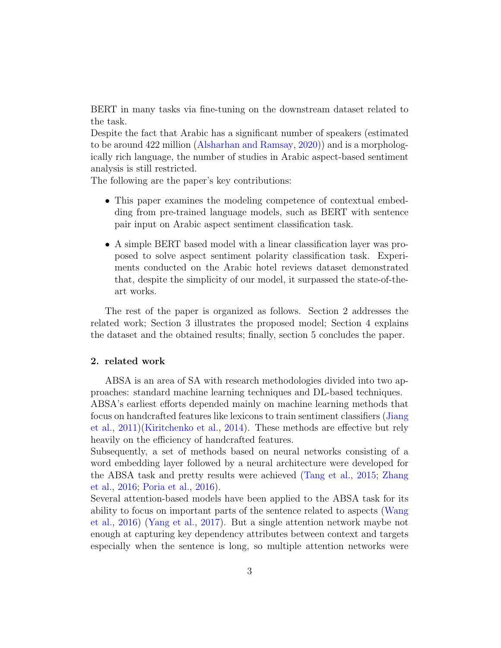BERT in many tasks via fine-tuning on the downstream dataset related to the task.

Despite the fact that Arabic has a significant number of speakers (estimated to be around 422 million [\(Alsharhan and Ramsay,](#page-13-2) [2020\)](#page-13-2)) and is a morphologically rich language, the number of studies in Arabic aspect-based sentiment analysis is still restricted.

The following are the paper's key contributions:

- This paper examines the modeling competence of contextual embedding from pre-trained language models, such as BERT with sentence pair input on Arabic aspect sentiment classification task.
- A simple BERT based model with a linear classification layer was proposed to solve aspect sentiment polarity classification task. Experiments conducted on the Arabic hotel reviews dataset demonstrated that, despite the simplicity of our model, it surpassed the state-of-theart works.

The rest of the paper is organized as follows. Section 2 addresses the related work; Section 3 illustrates the proposed model; Section 4 explains the dataset and the obtained results; finally, section 5 concludes the paper.

### 2. related work

ABSA is an area of SA with research methodologies divided into two approaches: standard machine learning techniques and DL-based techniques. ABSA's earliest efforts depended mainly on machine learning methods that focus on handcrafted features like lexicons to train sentiment classifiers [\(Jiang](#page-14-3) [et al.,](#page-14-3) [2011\)](#page-14-3)[\(Kiritchenko et al.,](#page-14-4) [2014\)](#page-14-4). These methods are effective but rely heavily on the efficiency of handcrafted features.

Subsequently, a set of methods based on neural networks consisting of a word embedding layer followed by a neural architecture were developed for the ABSA task and pretty results were achieved [\(Tang et al.,](#page-16-0) [2015;](#page-16-0) [Zhang](#page-16-1) [et al.,](#page-16-1) [2016;](#page-16-1) [Poria et al.,](#page-15-3) [2016\)](#page-15-3).

Several attention-based models have been applied to the ABSA task for its ability to focus on important parts of the sentence related to aspects [\(Wang](#page-16-2) [et al.,](#page-16-2) [2016\)](#page-16-2) [\(Yang et al.,](#page-16-3) [2017\)](#page-16-3). But a single attention network maybe not enough at capturing key dependency attributes between context and targets especially when the sentence is long, so multiple attention networks were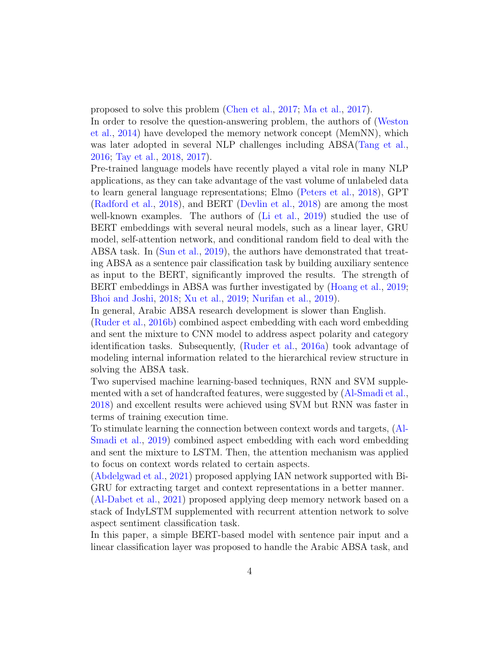proposed to solve this problem [\(Chen et al.,](#page-13-3) [2017;](#page-13-3) [Ma et al.,](#page-14-5) [2017\)](#page-14-5).

In order to resolve the question-answering problem, the authors of [\(Weston](#page-16-4) [et al.,](#page-16-4) [2014\)](#page-16-4) have developed the memory network concept (MemNN), which was later adopted in several NLP challenges including ABSA[\(Tang et al.,](#page-16-5) [2016;](#page-16-5) [Tay et al.,](#page-16-6) [2018,](#page-16-6) [2017\)](#page-16-7).

Pre-trained language models have recently played a vital role in many NLP applications, as they can take advantage of the vast volume of unlabeled data to learn general language representations; Elmo [\(Peters et al.,](#page-15-4) [2018\)](#page-15-4), GPT [\(Radford et al.,](#page-15-5) [2018\)](#page-15-5), and BERT [\(Devlin et al.,](#page-13-4) [2018\)](#page-13-4) are among the most well-known examples. The authors of [\(Li et al.,](#page-14-6) [2019\)](#page-14-6) studied the use of BERT embeddings with several neural models, such as a linear layer, GRU model, self-attention network, and conditional random field to deal with the ABSA task. In [\(Sun et al.,](#page-16-8) [2019\)](#page-16-8), the authors have demonstrated that treating ABSA as a sentence pair classification task by building auxiliary sentence as input to the BERT, significantly improved the results. The strength of BERT embeddings in ABSA was further investigated by [\(Hoang et al.,](#page-14-7) [2019;](#page-14-7) [Bhoi and Joshi,](#page-13-5) [2018;](#page-13-5) [Xu et al.,](#page-16-9) [2019;](#page-16-9) [Nurifan et al.,](#page-14-8) [2019\)](#page-14-8).

In general, Arabic ABSA research development is slower than English.

[\(Ruder et al.,](#page-15-6) [2016b\)](#page-15-6) combined aspect embedding with each word embedding and sent the mixture to CNN model to address aspect polarity and category identification tasks. Subsequently, [\(Ruder et al.,](#page-15-7) [2016a\)](#page-15-7) took advantage of modeling internal information related to the hierarchical review structure in solving the ABSA task.

Two supervised machine learning-based techniques, RNN and SVM supplemented with a set of handcrafted features, were suggested by [\(Al-Smadi et al.,](#page-13-6) [2018\)](#page-13-6) and excellent results were achieved using SVM but RNN was faster in terms of training execution time.

To stimulate learning the connection between context words and targets, [\(Al-](#page-13-7)[Smadi et al.,](#page-13-7) [2019\)](#page-13-7) combined aspect embedding with each word embedding and sent the mixture to LSTM. Then, the attention mechanism was applied to focus on context words related to certain aspects.

[\(Abdelgwad et al.,](#page-12-0) [2021\)](#page-12-0) proposed applying IAN network supported with Bi-GRU for extracting target and context representations in a better manner.

[\(Al-Dabet et al.,](#page-12-1) [2021\)](#page-12-1) proposed applying deep memory network based on a stack of IndyLSTM supplemented with recurrent attention network to solve aspect sentiment classification task.

In this paper, a simple BERT-based model with sentence pair input and a linear classification layer was proposed to handle the Arabic ABSA task, and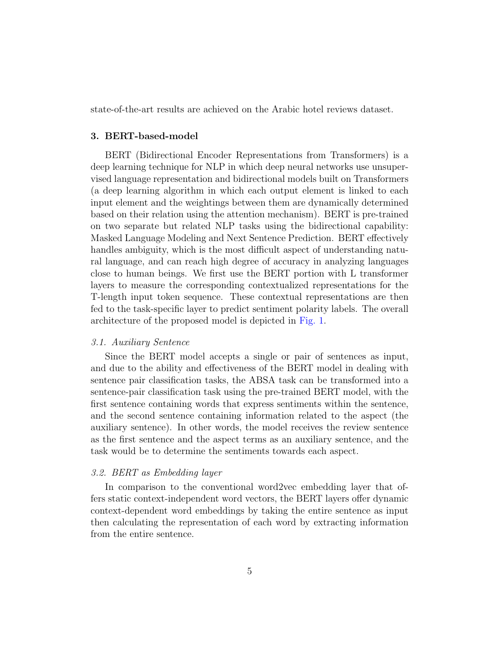state-of-the-art results are achieved on the Arabic hotel reviews dataset.

### 3. BERT-based-model

BERT (Bidirectional Encoder Representations from Transformers) is a deep learning technique for NLP in which deep neural networks use unsupervised language representation and bidirectional models built on Transformers (a deep learning algorithm in which each output element is linked to each input element and the weightings between them are dynamically determined based on their relation using the attention mechanism). BERT is pre-trained on two separate but related NLP tasks using the bidirectional capability: Masked Language Modeling and Next Sentence Prediction. BERT effectively handles ambiguity, which is the most difficult aspect of understanding natural language, and can reach high degree of accuracy in analyzing languages close to human beings. We first use the BERT portion with L transformer layers to measure the corresponding contextualized representations for the T-length input token sequence. These contextual representations are then fed to the task-specific layer to predict sentiment polarity labels. The overall architecture of the proposed model is depicted in [Fig. 1.](#page-5-0)

### 3.1. Auxiliary Sentence

Since the BERT model accepts a single or pair of sentences as input, and due to the ability and effectiveness of the BERT model in dealing with sentence pair classification tasks, the ABSA task can be transformed into a sentence-pair classification task using the pre-trained BERT model, with the first sentence containing words that express sentiments within the sentence, and the second sentence containing information related to the aspect (the auxiliary sentence). In other words, the model receives the review sentence as the first sentence and the aspect terms as an auxiliary sentence, and the task would be to determine the sentiments towards each aspect.

### 3.2. BERT as Embedding layer

In comparison to the conventional word2vec embedding layer that offers static context-independent word vectors, the BERT layers offer dynamic context-dependent word embeddings by taking the entire sentence as input then calculating the representation of each word by extracting information from the entire sentence.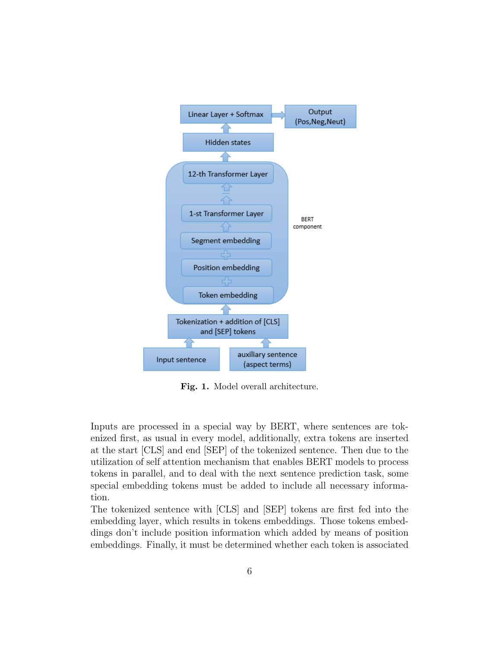<span id="page-5-0"></span>

Fig. 1. Model overall architecture.

Inputs are processed in a special way by BERT, where sentences are tokenized first, as usual in every model, additionally, extra tokens are inserted at the start [CLS] and end [SEP] of the tokenized sentence. Then due to the utilization of self attention mechanism that enables BERT models to process tokens in parallel, and to deal with the next sentence prediction task, some special embedding tokens must be added to include all necessary information.

The tokenized sentence with [CLS] and [SEP] tokens are first fed into the embedding layer, which results in tokens embeddings. Those tokens embeddings don't include position information which added by means of position embeddings. Finally, it must be determined whether each token is associated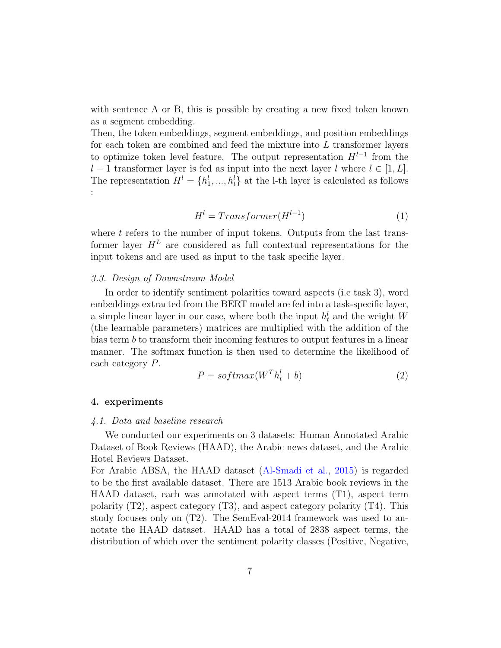with sentence A or B, this is possible by creating a new fixed token known as a segment embedding.

Then, the token embeddings, segment embeddings, and position embeddings for each token are combined and feed the mixture into  $L$  transformer layers to optimize token level feature. The output representation  $H^{l-1}$  from the l − 1 transformer layer is fed as input into the next layer l where  $l \in [1, L]$ . The representation  $H^l = \{h_1^l, ..., h_t^l\}$  at the l-th layer is calculated as follows :

$$
Hl = Transformer(Hl-1)
$$
\n(1)

where  $t$  refers to the number of input tokens. Outputs from the last transformer layer  $H^L$  are considered as full contextual representations for the input tokens and are used as input to the task specific layer.

### 3.3. Design of Downstream Model

In order to identify sentiment polarities toward aspects (i.e task 3), word embeddings extracted from the BERT model are fed into a task-specific layer, a simple linear layer in our case, where both the input  $h_t^l$  and the weight W (the learnable parameters) matrices are multiplied with the addition of the bias term b to transform their incoming features to output features in a linear manner. The softmax function is then used to determine the likelihood of each category P.

$$
P = softmax(W^T h_t^l + b)
$$
\n<sup>(2)</sup>

### 4. experiments

#### 4.1. Data and baseline research

We conducted our experiments on 3 datasets: Human Annotated Arabic Dataset of Book Reviews (HAAD), the Arabic news dataset, and the Arabic Hotel Reviews Dataset.

For Arabic ABSA, the HAAD dataset [\(Al-Smadi et al.,](#page-13-8) [2015\)](#page-13-8) is regarded to be the first available dataset. There are 1513 Arabic book reviews in the HAAD dataset, each was annotated with aspect terms (T1), aspect term polarity  $(T2)$ , aspect category  $(T3)$ , and aspect category polarity  $(T4)$ . This study focuses only on (T2). The SemEval-2014 framework was used to annotate the HAAD dataset. HAAD has a total of 2838 aspect terms, the distribution of which over the sentiment polarity classes (Positive, Negative,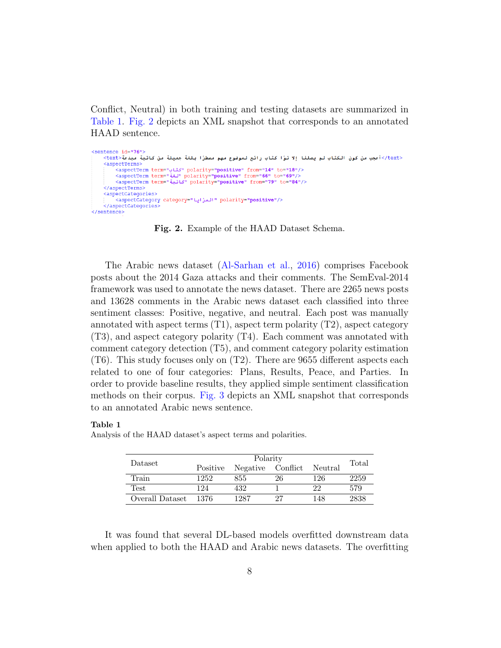Conflict, Neutral) in both training and testing datasets are summarized in [Table 1.](#page-7-0) [Fig. 2](#page-7-1) depicts an XML snapshot that corresponds to an annotated HAAD sentence.

```
<sentence id="76">
    </text>أعجب من كون الكتاب لم يصلنا إلا توًا كتاب رائع لموضوع مهم مسطرًا بلغة جميلة من كاتبة مبدعة<text>
    <aspectTerms>
        <aspectTerm term="كتان" polarity="positive" from="14" to="18"/>
        /volarity="positive" from="66" to="69"><aspectTerm term="
        <aspectTerm term="تحاتبة polarity="positive" from="79" to="84"/>
    </aspectTerms>
    <sub>aspectCategorical</sub></sub>
       <aspectCategory category="المزايا" polarity="positive"/>
    </aspectCategories>
</sentence>
```
Fig. 2. Example of the HAAD Dataset Schema.

The Arabic news dataset [\(Al-Sarhan et al.,](#page-12-2) [2016\)](#page-12-2) comprises Facebook posts about the 2014 Gaza attacks and their comments. The SemEval-2014 framework was used to annotate the news dataset. There are 2265 news posts and 13628 comments in the Arabic news dataset each classified into three sentiment classes: Positive, negative, and neutral. Each post was manually annotated with aspect terms  $(T1)$ , aspect term polarity  $(T2)$ , aspect category (T3), and aspect category polarity (T4). Each comment was annotated with comment category detection (T5), and comment category polarity estimation (T6). This study focuses only on (T2). There are 9655 different aspects each related to one of four categories: Plans, Results, Peace, and Parties. In order to provide baseline results, they applied simple sentiment classification methods on their corpus. [Fig. 3](#page-8-0) depicts an XML snapshot that corresponds to an annotated Arabic news sentence.

#### <span id="page-7-0"></span>Table 1

| Dataset         |          |          |                         |         |       |
|-----------------|----------|----------|-------------------------|---------|-------|
|                 | Positive | Negative | $\mathop{\rm Conflict}$ | Neutral | Total |
| Train           | 1252     | 855      | 26                      | 126     | 2259  |
| Test            | 124      | 432      |                         | 22      | 579   |
| Overall Dataset | 1376     | 1287     | 27                      | 148     | 2838  |

Analysis of the HAAD dataset's aspect terms and polarities.

It was found that several DL-based models overfitted downstream data when applied to both the HAAD and Arabic news datasets. The overfitting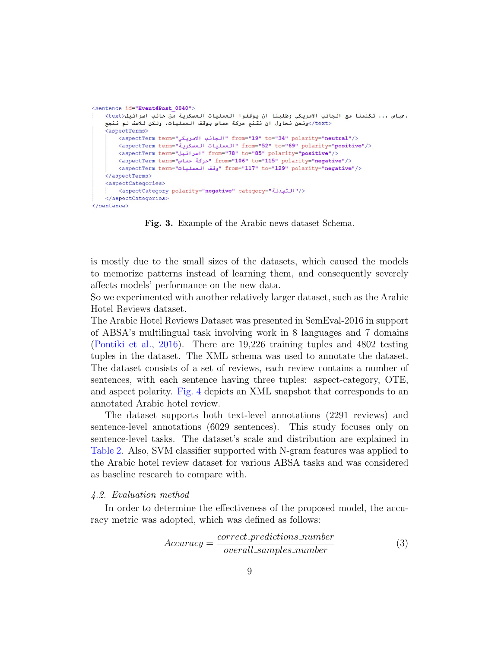```
<sentence id="Event4Post 0040">
   ،عباس ،،، تكلمنا مع الجانب الامريكي وطلبنا ان يوقفوا العمليات العسكرية من جانب اسرائيل<text
    <text/>ونحن نحاول ان نقنع حركة حماس بوقف العمليات، ولكن للاسف لم ننجح
    <aspectTerms>
        <aspectTerm term="كبانب الامريكي" from="19" to="34" polarity="neutral"/>
        </ref> from="52" to="69" polarity="positive" /> <aspectTerm term="4" العمليات العسكرية
        <aspectTerm term="اسرائيل" from="78" to="85" polarity="positive"/>
        </aspectTerm_term="مركة حما\mu" from="106" to="115" polarity="negative">
        </rom="117" to="129" polarity="negative"> "أوقف العمليات" from="117" to="129" polarity="negative">
    </aspectTerms>
    <aspectCategories>
       </aspectCategory polarity="negative" category="" التهدئة
    </aspectCategories>
</sentence>
```
Fig. 3. Example of the Arabic news dataset Schema.

is mostly due to the small sizes of the datasets, which caused the models to memorize patterns instead of learning them, and consequently severely affects models' performance on the new data.

So we experimented with another relatively larger dataset, such as the Arabic Hotel Reviews dataset.

The Arabic Hotel Reviews Dataset was presented in SemEval-2016 in support of ABSA's multilingual task involving work in 8 languages and 7 domains [\(Pontiki et al.,](#page-15-2) [2016\)](#page-15-2). There are 19,226 training tuples and 4802 testing tuples in the dataset. The XML schema was used to annotate the dataset. The dataset consists of a set of reviews, each review contains a number of sentences, with each sentence having three tuples: aspect-category, OTE, and aspect polarity. [Fig. 4](#page-9-0) depicts an XML snapshot that corresponds to an annotated Arabic hotel review.

The dataset supports both text-level annotations (2291 reviews) and sentence-level annotations (6029 sentences). This study focuses only on sentence-level tasks. The dataset's scale and distribution are explained in [Table 2.](#page-9-1) Also, SVM classifier supported with N-gram features was applied to the Arabic hotel review dataset for various ABSA tasks and was considered as baseline research to compare with.

### 4.2. Evaluation method

In order to determine the effectiveness of the proposed model, the accuracy metric was adopted, which was defined as follows:

$$
Accuracy = \frac{correct\_predictions_number}{overall\_samples_number} \tag{3}
$$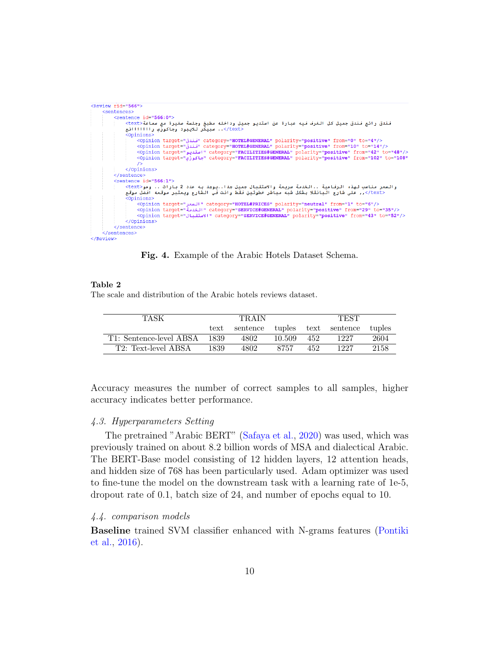```
<Review rid="566">
     <sentences>
          <sentence id="566:0">
                .<br>فندق رائع فندق جميل كل الغرف فيه عبارة عن استديو جميل وداخله مطبخ وجلسة صغيرة مع سماعة<text:
                </text>.. سبيكر للايبود وجاكوزّي راااااالغ
                 <Opinions>
                     inions><br><opinion target=""category="HOTEL#GENERAL" polarity="positive" from="0" to="4"/><br><opinion target=""category="HOTEL#GENERAL" polarity="<mark>positive</mark>" from="10" to="14"/><br><opinion target="استديو "category="FACIL
                     \sqrt{2}\frac{1}{2}</sentence>
          <sentence id="566:1">
               والسعر مناسب لهذه الرفاعية ..الخدمة سريعة والاستقبال جميل جدا..يوجد به عدد 2 بارات .. ومو<text><br>والسعر مناسب لهذه الرفع البانقلا بشكل شبه مباشر خطوتين فقط وانت في الشارع ويعتبر موقعه افضل موقع
                 Opinions>
                     </opinion target="السعر" category="HOTEL#PRICES" polarity="neutral" from="1" to="6">
                     </ppinion_target="leating="category="SERVICE#GENERAL"_polarity="positive"_from="29"_to="35"/>
                     </ppinion_target="J"|Y"_category="SERVICE#GENERAL"_polarity="positive"_from="43"_to="52"/>
                </Opinions>
          </sentence>
     \langle/sentences>
</Review>
```
Fig. 4. Example of the Arabic Hotels Dataset Schema.

#### <span id="page-9-1"></span>Table 2

The scale and distribution of the Arabic hotels reviews dataset.

| TASK                    | TR A IN |      |        | <b>TEST</b> |                               |        |
|-------------------------|---------|------|--------|-------------|-------------------------------|--------|
|                         | text    |      |        |             | sentence tuples text sentence | tuples |
| T1: Sentence-level ABSA | 1839    | 4802 | 10.509 | 452         | 1227                          | 2604   |
| T2: Text-level ABSA     | 1839    | 4802 | 8757   | 452         | 1227                          | 2158   |

Accuracy measures the number of correct samples to all samples, higher accuracy indicates better performance.

### 4.3. Hyperparameters Setting

The pretrained "Arabic BERT" [\(Safaya et al.,](#page-15-8) [2020\)](#page-15-8) was used, which was previously trained on about 8.2 billion words of MSA and dialectical Arabic. The BERT-Base model consisting of 12 hidden layers, 12 attention heads, and hidden size of 768 has been particularly used. Adam optimizer was used to fine-tune the model on the downstream task with a learning rate of 1e-5, dropout rate of 0.1, batch size of 24, and number of epochs equal to 10.

#### 4.4. comparison models

Baseline trained SVM classifier enhanced with N-grams features [\(Pontiki](#page-15-2) [et al.,](#page-15-2) [2016\)](#page-15-2).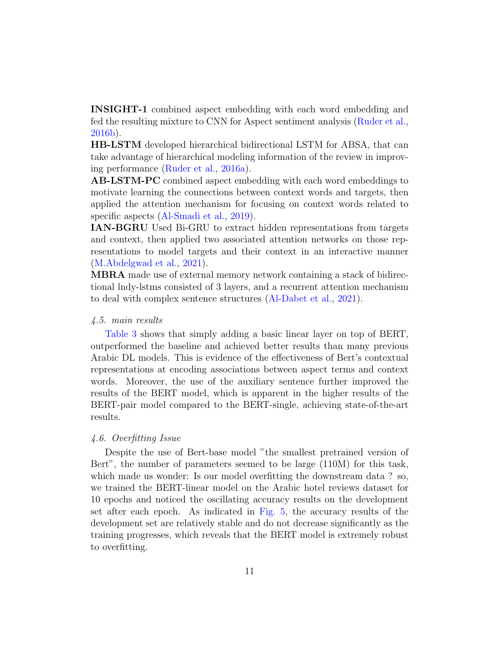INSIGHT-1 combined aspect embedding with each word embedding and fed the resulting mixture to CNN for Aspect sentiment analysis [\(Ruder et al.,](#page-15-6) [2016b\)](#page-15-6).

HB-LSTM developed hierarchical bidirectional LSTM for ABSA, that can take advantage of hierarchical modeling information of the review in improving performance [\(Ruder et al.,](#page-15-7) [2016a\)](#page-15-7).

AB-LSTM-PC combined aspect embedding with each word embeddings to motivate learning the connections between context words and targets, then applied the attention mechanism for focusing on context words related to specific aspects [\(Al-Smadi et al.,](#page-13-7) [2019\)](#page-13-7).

IAN-BGRU Used Bi-GRU to extract hidden representations from targets and context, then applied two associated attention networks on those representations to model targets and their context in an interactive manner [\(M.Abdelgwad et al.,](#page-14-9) [2021\)](#page-14-9).

MBRA made use of external memory network containing a stack of bidirectional lndy-lstms consisted of 3 layers, and a recurrent attention mechanism to deal with complex sentence structures [\(Al-Dabet et al.,](#page-12-1) [2021\)](#page-12-1).

### 4.5. main results

[Table 3](#page-11-0) shows that simply adding a basic linear layer on top of BERT, outperformed the baseline and achieved better results than many previous Arabic DL models. This is evidence of the effectiveness of Bert's contextual representations at encoding associations between aspect terms and context words. Moreover, the use of the auxiliary sentence further improved the results of the BERT model, which is apparent in the higher results of the BERT-pair model compared to the BERT-single, achieving state-of-the-art results.

### 4.6. Overfitting Issue

Despite the use of Bert-base model "the smallest pretrained version of Bert", the number of parameters seemed to be large (110M) for this task, which made us wonder: Is our model overfitting the downstream data ? so, we trained the BERT-linear model on the Arabic hotel reviews dataset for 10 epochs and noticed the oscillating accuracy results on the development set after each epoch. As indicated in [Fig. 5,](#page-11-1) the accuracy results of the development set are relatively stable and do not decrease significantly as the training progresses, which reveals that the BERT model is extremely robust to overfitting.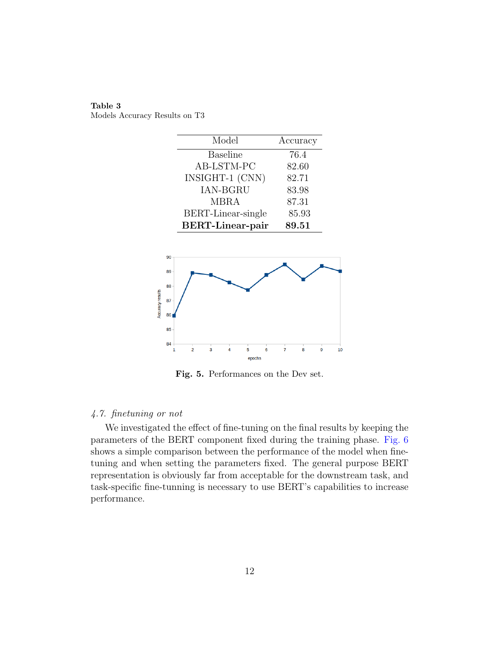<span id="page-11-0"></span>

| Table 3                       |  |
|-------------------------------|--|
| Models Accuracy Results on T3 |  |

<span id="page-11-1"></span>

Fig. 5. Performances on the Dev set.

## 4.7. finetuning or not

We investigated the effect of fine-tuning on the final results by keeping the parameters of the BERT component fixed during the training phase. [Fig. 6](#page-12-3) shows a simple comparison between the performance of the model when finetuning and when setting the parameters fixed. The general purpose BERT representation is obviously far from acceptable for the downstream task, and task-specific fine-tunning is necessary to use BERT's capabilities to increase performance.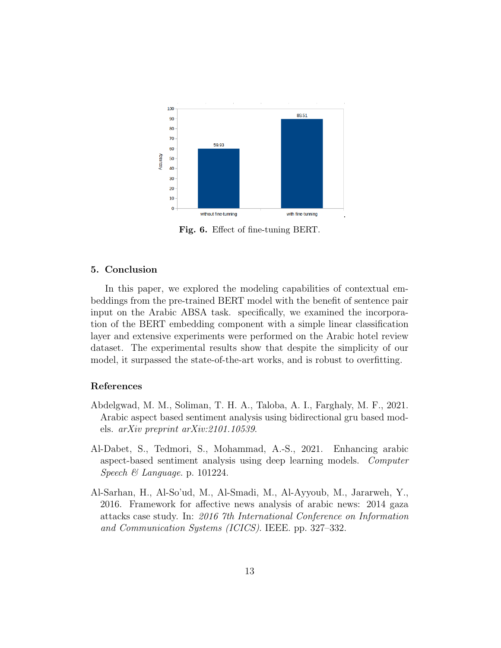<span id="page-12-3"></span>

Fig. 6. Effect of fine-tuning BERT.

### 5. Conclusion

In this paper, we explored the modeling capabilities of contextual embeddings from the pre-trained BERT model with the benefit of sentence pair input on the Arabic ABSA task. specifically, we examined the incorporation of the BERT embedding component with a simple linear classification layer and extensive experiments were performed on the Arabic hotel review dataset. The experimental results show that despite the simplicity of our model, it surpassed the state-of-the-art works, and is robust to overfitting.

# References

- <span id="page-12-0"></span>Abdelgwad, M. M., Soliman, T. H. A., Taloba, A. I., Farghaly, M. F., 2021. Arabic aspect based sentiment analysis using bidirectional gru based models. arXiv preprint arXiv:2101.10539.
- <span id="page-12-1"></span>Al-Dabet, S., Tedmori, S., Mohammad, A.-S., 2021. Enhancing arabic aspect-based sentiment analysis using deep learning models. Computer Speech & Language. p. 101224.
- <span id="page-12-2"></span>Al-Sarhan, H., Al-So'ud, M., Al-Smadi, M., Al-Ayyoub, M., Jararweh, Y., 2016. Framework for affective news analysis of arabic news: 2014 gaza attacks case study. In: 2016 7th International Conference on Information and Communication Systems (ICICS). IEEE. pp. 327–332.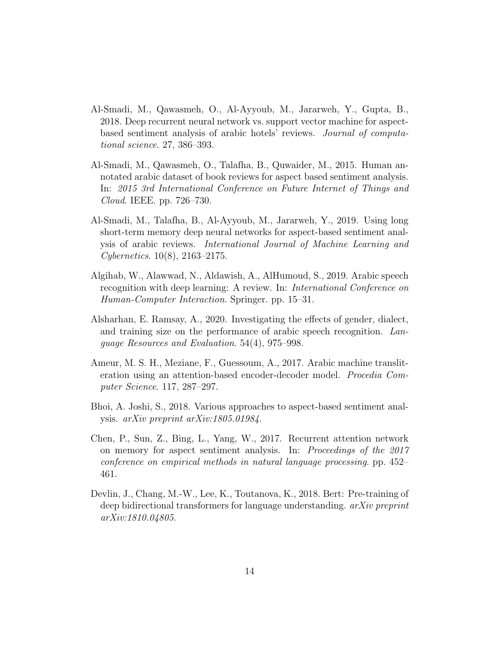- <span id="page-13-6"></span>Al-Smadi, M., Qawasmeh, O., Al-Ayyoub, M., Jararweh, Y., Gupta, B., 2018. Deep recurrent neural network vs. support vector machine for aspectbased sentiment analysis of arabic hotels' reviews. Journal of computational science. 27, 386–393.
- <span id="page-13-8"></span>Al-Smadi, M., Qawasmeh, O., Talafha, B., Quwaider, M., 2015. Human annotated arabic dataset of book reviews for aspect based sentiment analysis. In: 2015 3rd International Conference on Future Internet of Things and Cloud. IEEE. pp. 726–730.
- <span id="page-13-7"></span>Al-Smadi, M., Talafha, B., Al-Ayyoub, M., Jararweh, Y., 2019. Using long short-term memory deep neural networks for aspect-based sentiment analysis of arabic reviews. International Journal of Machine Learning and Cybernetics. 10(8), 2163–2175.
- <span id="page-13-1"></span>Algihab, W., Alawwad, N., Aldawish, A., AlHumoud, S., 2019. Arabic speech recognition with deep learning: A review. In: International Conference on Human-Computer Interaction. Springer. pp. 15–31.
- <span id="page-13-2"></span>Alsharhan, E. Ramsay, A., 2020. Investigating the effects of gender, dialect, and training size on the performance of arabic speech recognition. Language Resources and Evaluation. 54(4), 975–998.
- <span id="page-13-0"></span>Ameur, M. S. H., Meziane, F., Guessoum, A., 2017. Arabic machine transliteration using an attention-based encoder-decoder model. Procedia Computer Science. 117, 287–297.
- <span id="page-13-5"></span>Bhoi, A. Joshi, S., 2018. Various approaches to aspect-based sentiment analysis. arXiv preprint arXiv:1805.01984.
- <span id="page-13-3"></span>Chen, P., Sun, Z., Bing, L., Yang, W., 2017. Recurrent attention network on memory for aspect sentiment analysis. In: Proceedings of the 2017 conference on empirical methods in natural language processing. pp. 452– 461.
- <span id="page-13-4"></span>Devlin, J., Chang, M.-W., Lee, K., Toutanova, K., 2018. Bert: Pre-training of deep bidirectional transformers for language understanding. *arXiv preprint* arXiv:1810.04805.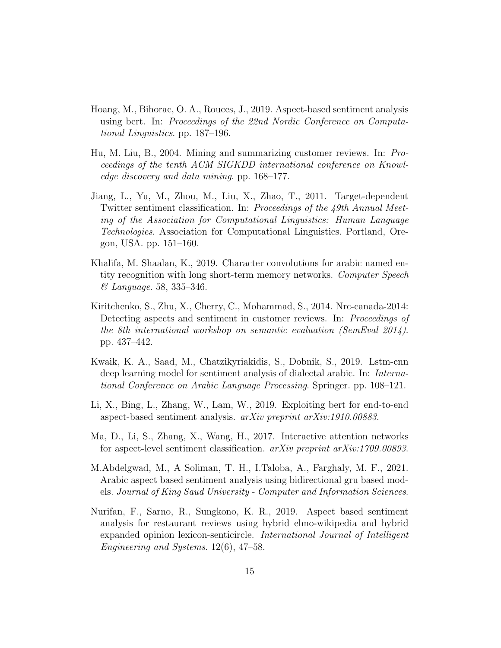- <span id="page-14-7"></span>Hoang, M., Bihorac, O. A., Rouces, J., 2019. Aspect-based sentiment analysis using bert. In: Proceedings of the 22nd Nordic Conference on Computational Linguistics. pp. 187–196.
- <span id="page-14-0"></span>Hu, M. Liu, B., 2004. Mining and summarizing customer reviews. In: Proceedings of the tenth ACM SIGKDD international conference on Knowledge discovery and data mining. pp. 168–177.
- <span id="page-14-3"></span>Jiang, L., Yu, M., Zhou, M., Liu, X., Zhao, T., 2011. Target-dependent Twitter sentiment classification. In: Proceedings of the 49th Annual Meeting of the Association for Computational Linguistics: Human Language Technologies. Association for Computational Linguistics. Portland, Oregon, USA. pp. 151–160.
- <span id="page-14-2"></span>Khalifa, M. Shaalan, K., 2019. Character convolutions for arabic named entity recognition with long short-term memory networks. Computer Speech & Language. 58, 335–346.
- <span id="page-14-4"></span>Kiritchenko, S., Zhu, X., Cherry, C., Mohammad, S., 2014. Nrc-canada-2014: Detecting aspects and sentiment in customer reviews. In: Proceedings of the 8th international workshop on semantic evaluation (SemEval 2014). pp. 437–442.
- <span id="page-14-1"></span>Kwaik, K. A., Saad, M., Chatzikyriakidis, S., Dobnik, S., 2019. Lstm-cnn deep learning model for sentiment analysis of dialectal arabic. In: International Conference on Arabic Language Processing. Springer. pp. 108–121.
- <span id="page-14-6"></span>Li, X., Bing, L., Zhang, W., Lam, W., 2019. Exploiting bert for end-to-end aspect-based sentiment analysis. arXiv preprint arXiv:1910.00883.
- <span id="page-14-5"></span>Ma, D., Li, S., Zhang, X., Wang, H., 2017. Interactive attention networks for aspect-level sentiment classification. arXiv preprint arXiv:1709.00893.
- <span id="page-14-9"></span>M.Abdelgwad, M., A Soliman, T. H., I.Taloba, A., Farghaly, M. F., 2021. Arabic aspect based sentiment analysis using bidirectional gru based models. Journal of King Saud University - Computer and Information Sciences.
- <span id="page-14-8"></span>Nurifan, F., Sarno, R., Sungkono, K. R., 2019. Aspect based sentiment analysis for restaurant reviews using hybrid elmo-wikipedia and hybrid expanded opinion lexicon-senticircle. International Journal of Intelligent Engineering and Systems. 12(6), 47–58.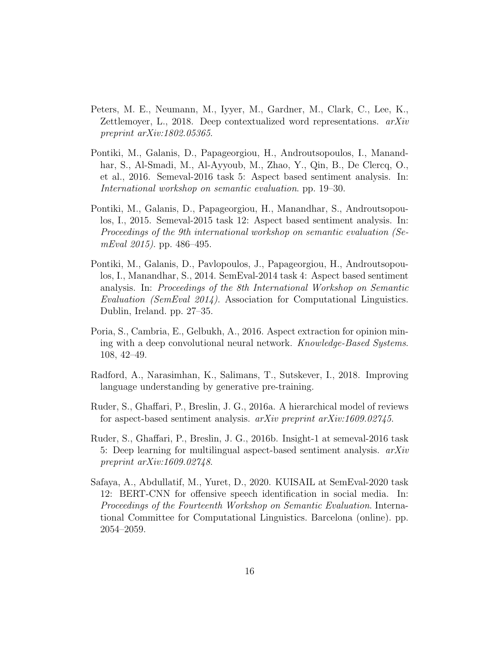- <span id="page-15-4"></span>Peters, M. E., Neumann, M., Iyyer, M., Gardner, M., Clark, C., Lee, K., Zettlemoyer, L., 2018. Deep contextualized word representations. arXiv preprint arXiv:1802.05365.
- <span id="page-15-2"></span>Pontiki, M., Galanis, D., Papageorgiou, H., Androutsopoulos, I., Manandhar, S., Al-Smadi, M., Al-Ayyoub, M., Zhao, Y., Qin, B., De Clercq, O., et al., 2016. Semeval-2016 task 5: Aspect based sentiment analysis. In: International workshop on semantic evaluation. pp. 19–30.
- <span id="page-15-1"></span>Pontiki, M., Galanis, D., Papageorgiou, H., Manandhar, S., Androutsopoulos, I., 2015. Semeval-2015 task 12: Aspect based sentiment analysis. In: Proceedings of the 9th international workshop on semantic evaluation (Se $mEval 2015$ ). pp. 486–495.
- <span id="page-15-0"></span>Pontiki, M., Galanis, D., Pavlopoulos, J., Papageorgiou, H., Androutsopoulos, I., Manandhar, S., 2014. SemEval-2014 task 4: Aspect based sentiment analysis. In: Proceedings of the 8th International Workshop on Semantic Evaluation (SemEval 2014). Association for Computational Linguistics. Dublin, Ireland. pp. 27–35.
- <span id="page-15-3"></span>Poria, S., Cambria, E., Gelbukh, A., 2016. Aspect extraction for opinion mining with a deep convolutional neural network. Knowledge-Based Systems. 108, 42–49.
- <span id="page-15-5"></span>Radford, A., Narasimhan, K., Salimans, T., Sutskever, I., 2018. Improving language understanding by generative pre-training.
- <span id="page-15-7"></span>Ruder, S., Ghaffari, P., Breslin, J. G., 2016a. A hierarchical model of reviews for aspect-based sentiment analysis.  $arXiv$  preprint  $arXiv:1609.02745$ .
- <span id="page-15-6"></span>Ruder, S., Ghaffari, P., Breslin, J. G., 2016b. Insight-1 at semeval-2016 task 5: Deep learning for multilingual aspect-based sentiment analysis.  $arXiv$ preprint arXiv:1609.02748.
- <span id="page-15-8"></span>Safaya, A., Abdullatif, M., Yuret, D., 2020. KUISAIL at SemEval-2020 task 12: BERT-CNN for offensive speech identification in social media. In: Proceedings of the Fourteenth Workshop on Semantic Evaluation. International Committee for Computational Linguistics. Barcelona (online). pp. 2054–2059.